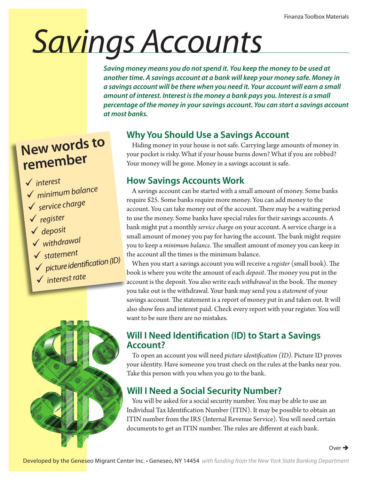# *Savings Accounts*

*Saving money means you do not spend it. You keep the money to be used at another time. A savings account at a bank will keep your money safe. Money in a savings account will be there when you need it. Your account will earn a small amount of interest. Interest is the money a bank pays you. Interest is a small percentage of the money in your savings account. You can start a savings account at most banks.*

### **New words to remember**

#### *interest*

- *minimum balance*
- *service charge*
- *register*
- *deposit*
- *withdrawal*
- *statemen<sup>t</sup>*
- *picture identification (ID)*
- *interest rate*



#### **Why You Should Use a Savings Account**

Hiding money in your house is not safe. Carrying large amounts of money in your pocket is risky. What if your house burns down? What if you are robbed? Your money will be gone. Money in a savings account is safe.

#### **How Savings Accounts Work**

A savings account can be started with a small amount of money. Some banks require \$25. Some banks require more money. You can add money to the account. You can take money out of the account. There may be a waiting period to use the money. Some banks have special rules for their savings accounts. A bank might put a monthly *service charg*e on your account. A service charge is a small amount of money you pay for having the account. The bank might require you to keep a *minimum balance.* The smallest amount of money you can keep in the account all the times is the minimum balance.

When you start a savings account you will receive a *register* (small book). The book is where you write the amount of each *deposit*. The money you put in the account is the deposit. You also write each *withdrawal* in the book. The money you take out is the withdrawal. Your bank may send you a *statement* of your savings account. The statement is a report of money put in and taken out. It will also show fees and interest paid. Check every report with your register. You will want to be sure there are no mistakes.

#### **Will I Need Identification (ID) to Start a Savings Account?**

To open an account you will need *picture identification (ID).* Picture ID proves your identity. Have someone you trust check on the rules at the banks near you. Take this person with you when you go to the bank.

#### **Will I Need a Social Security Number?**

You will be asked for a social security number. You may be able to use an Individual Tax Identification Number (ITIN). It may be possible to obtain an ITIN number from the IRS (Internal Revenue Service). You will need certain documents to get an ITIN number. The rules are different at each bank.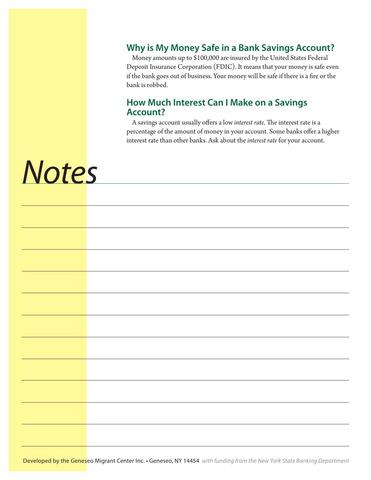#### **Why is My Money Safe in a Bank Savings Account?**

Money amounts up to \$100,000 are insured by the United States Federal Deposit Insurance Corporation (FDIC). It means that your money is safe even if the bank goes out of business. Your money will be safe if there is a fire or the bank is robbed.

#### **How Much Interest Can I Make on a Savings Account?**

A savings account usually offers a low *interest rate.* The interest rate is a percentage of the amount of money in your account. Some banks offer a higher interest rate than other banks. Ask about the *interest rate* for your account.

## *Notes*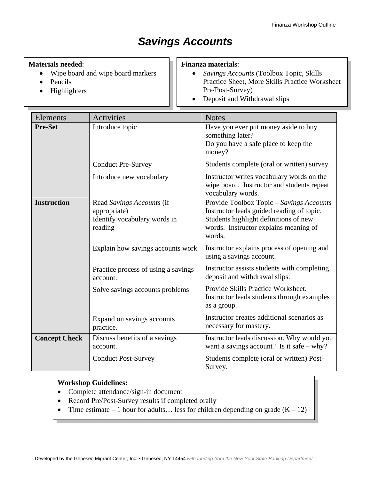#### *Savings Accounts*

#### **Materials needed**:

- Wipe board and wipe board markers
- Pencils
- Highlighters

#### **Finanza materials**:

- *Savings Accounts* (Toolbox Topic, Skills Practice Sheet, More Skills Practice Worksheet Pre/Post-Survey)
- Deposit and Withdrawal slips

| Elements             | <b>Activities</b>                                                                    | <b>Notes</b>                                                                                                                                                                      |
|----------------------|--------------------------------------------------------------------------------------|-----------------------------------------------------------------------------------------------------------------------------------------------------------------------------------|
| <b>Pre-Set</b>       | Introduce topic                                                                      | Have you ever put money aside to buy<br>something later?<br>Do you have a safe place to keep the<br>money?                                                                        |
|                      | <b>Conduct Pre-Survey</b>                                                            | Students complete (oral or written) survey.                                                                                                                                       |
|                      | Introduce new vocabulary                                                             | Instructor writes vocabulary words on the<br>wipe board. Instructor and students repeat<br>vocabulary words.                                                                      |
| <b>Instruction</b>   | Read Savings Accounts (if<br>appropriate)<br>Identify vocabulary words in<br>reading | Provide Toolbox Topic – Savings Accounts<br>Instructor leads guided reading of topic.<br>Students highlight definitions of new<br>words. Instructor explains meaning of<br>words. |
|                      | Explain how savings accounts work                                                    | Instructor explains process of opening and<br>using a savings account.                                                                                                            |
|                      | Practice process of using a savings<br>account.                                      | Instructor assists students with completing<br>deposit and withdrawal slips.                                                                                                      |
|                      | Solve savings accounts problems                                                      | Provide Skills Practice Worksheet.<br>Instructor leads students through examples<br>as a group.                                                                                   |
|                      | Expand on savings accounts<br>practice.                                              | Instructor creates additional scenarios as<br>necessary for mastery.                                                                                                              |
| <b>Concept Check</b> | Discuss benefits of a savings<br>account.                                            | Instructor leads discussion. Why would you<br>want a savings account? Is it safe $-$ why?                                                                                         |
|                      | <b>Conduct Post-Survey</b>                                                           | Students complete (oral or written) Post-<br>Survey.                                                                                                                              |

#### **Workshop Guidelines:**

- Complete attendance/sign-in document
- Record Pre/Post-Survey results if completed orally
- Time estimate 1 hour for adults... less for children depending on grade  $(K 12)$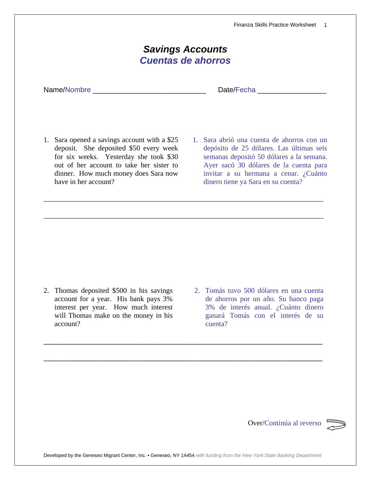Finanza Skills Practice Worksheet 1

| <b>Savings Accounts</b><br><b>Cuentas de ahorros</b> |  |  |  |
|------------------------------------------------------|--|--|--|
|                                                      |  |  |  |
|                                                      |  |  |  |

\_\_\_\_\_\_\_\_\_\_\_\_\_\_\_\_\_\_\_\_\_\_\_\_\_\_\_\_\_\_\_\_\_\_\_\_\_\_\_\_\_\_\_\_\_\_\_\_\_\_\_\_\_\_\_\_\_\_\_\_\_\_\_\_\_\_\_\_\_\_\_\_\_\_\_\_\_

\_\_\_\_\_\_\_\_\_\_\_\_\_\_\_\_\_\_\_\_\_\_\_\_\_\_\_\_\_\_\_\_\_\_\_\_\_\_\_\_\_\_\_\_\_\_\_\_\_\_\_\_\_\_\_\_\_\_\_\_\_\_\_\_\_\_\_\_\_\_\_\_\_\_\_\_\_

- 1. Sara opened a savings account with a \$25 deposit. She deposited \$50 every week for six weeks. Yesterday she took \$30 out of her account to take her sister to dinner. How much money does Sara now have in her account?
- 1. Sara abrió una cuenta de ahorros con un depósito de 25 dólares. Las últimas seis semanas depositó 50 dólares a la semana. Ayer sacó 30 dólares de la cuenta para invitar a su hermana a cenar. ¿Cuánto dinero tiene ya Sara en su cuenta?

- 2. Thomas deposited \$500 in his savings account for a year. His bank pays 3% interest per year. How much interest will Thomas make on the money in his account?
- 2. Tomás tuvo 500 dólares en una cuenta de ahorros por un año. Su banco paga 3% de interés anual. ¿Cuánto dinero ganará Tomás con el interés de su cuenta?

Over/Continúa al reverso



\_\_\_\_\_\_\_\_\_\_\_\_\_\_\_\_\_\_\_\_\_\_\_\_\_\_\_\_\_\_\_\_\_\_\_\_\_\_\_\_\_\_\_\_\_\_\_\_\_\_\_\_\_\_\_\_\_\_\_\_\_\_\_\_\_\_\_\_\_

\_\_\_\_\_\_\_\_\_\_\_\_\_\_\_\_\_\_\_\_\_\_\_\_\_\_\_\_\_\_\_\_\_\_\_\_\_\_\_\_\_\_\_\_\_\_\_\_\_\_\_\_\_\_\_\_\_\_\_\_\_\_\_\_\_\_\_\_\_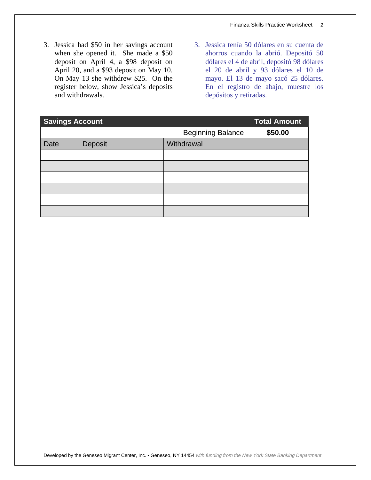- 3. Jessica had \$50 in her savings account when she opened it. She made a \$50 deposit on April 4, a \$98 deposit on April 20, and a \$93 deposit on May 10. On May 13 she withdrew \$25. On the register below, show Jessica's deposits and withdrawals.
- 3. Jessica tenía 50 dólares en su cuenta de ahorros cuando la abrió. Depositó 50 dólares el 4 de abril, depositó 98 dólares el 20 de abril y 93 dólares el 10 de mayo. El 13 de mayo sacó 25 dólares. En el registro de abajo, muestre los depósitos y retiradas.

| <b>Savings Account</b> |         | <b>Total Amount</b>      |         |
|------------------------|---------|--------------------------|---------|
|                        |         | <b>Beginning Balance</b> | \$50.00 |
| Date                   | Deposit | Withdrawal               |         |
|                        |         |                          |         |
|                        |         |                          |         |
|                        |         |                          |         |
|                        |         |                          |         |
|                        |         |                          |         |
|                        |         |                          |         |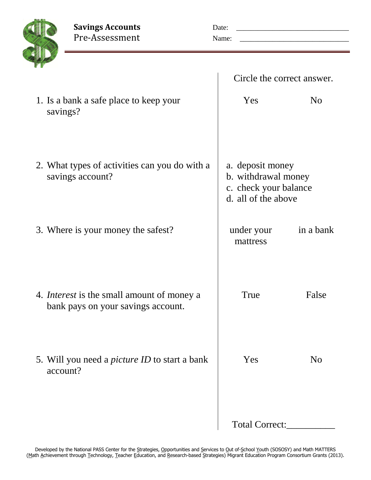

| ssessment |  |
|-----------|--|
|           |  |
|           |  |

| <b>Savings Accounts</b> | Date: |
|-------------------------|-------|
| Pre-Assessment          | Name: |

|                                                                                         | Circle the correct answer.                                                              |                |
|-----------------------------------------------------------------------------------------|-----------------------------------------------------------------------------------------|----------------|
| 1. Is a bank a safe place to keep your<br>savings?                                      | Yes                                                                                     | N <sub>0</sub> |
| 2. What types of activities can you do with a<br>savings account?                       | a. deposit money<br>b. withdrawal money<br>c. check your balance<br>d. all of the above |                |
| 3. Where is your money the safest?                                                      | under your<br>mattress                                                                  | in a bank      |
| 4. <i>Interest</i> is the small amount of money a<br>bank pays on your savings account. | True                                                                                    | False          |
| 5. Will you need a <i>picture ID</i> to start a bank<br>account?                        | Yes                                                                                     | N <sub>0</sub> |
|                                                                                         | Total Correct:                                                                          |                |